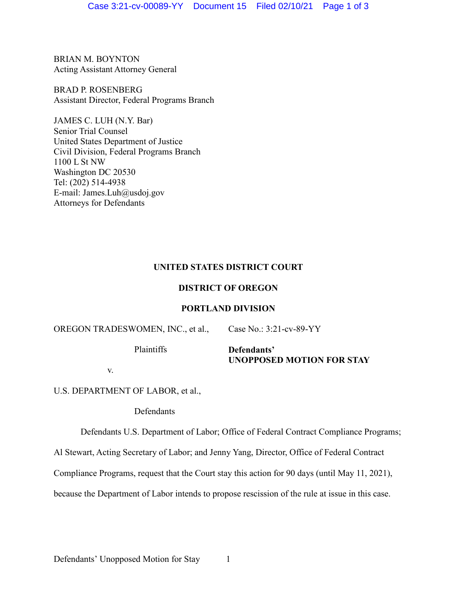BRIAN M. BOYNTON Acting Assistant Attorney General

BRAD P. ROSENBERG Assistant Director, Federal Programs Branch

JAMES C. LUH (N.Y. Bar) Senior Trial Counsel United States Department of Justice Civil Division, Federal Programs Branch 1100 L St NW Washington DC 20530 Tel: (202) 514-4938 E-mail: James.Luh@usdoj.gov Attorneys for Defendants

## **UNITED STATES DISTRICT COURT**

## **DISTRICT OF OREGON**

## **PORTLAND DIVISION**

| OREGON TRADESWOMEN, INC., et al., | Case No.: $3:21$ -cv-89-YY |
|-----------------------------------|----------------------------|
| <b>Plaintiffs</b>                 | Defendants'                |

v.

U.S. DEPARTMENT OF LABOR, et al.,

Defendants

Defendants U.S. Department of Labor; Office of Federal Contract Compliance Programs;

**UNOPPOSED MOTION FOR STAY**

Al Stewart, Acting Secretary of Labor; and Jenny Yang, Director, Office of Federal Contract

Compliance Programs, request that the Court stay this action for 90 days (until May 11, 2021),

because the Department of Labor intends to propose rescission of the rule at issue in this case.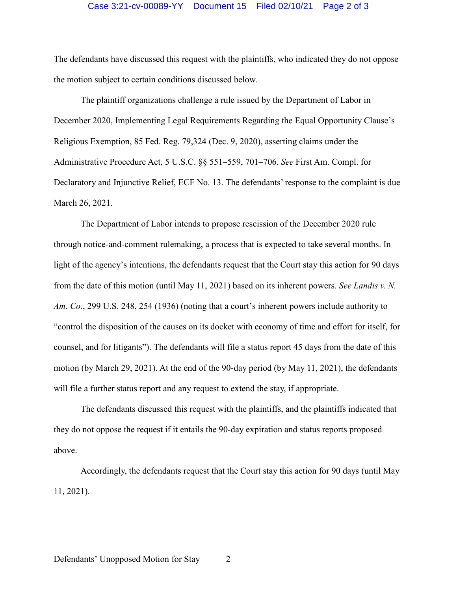## Case 3:21-cv-00089-YY Document 15 Filed 02/10/21 Page 2 of 3

The defendants have discussed this request with the plaintiffs, who indicated they do not oppose the motion subject to certain conditions discussed below.

The plaintiff organizations challenge a rule issued by the Department of Labor in December 2020, Implementing Legal Requirements Regarding the Equal Opportunity Clause's Religious Exemption, 85 Fed. Reg. 79,324 (Dec. 9, 2020), asserting claims under the Administrative Procedure Act, 5 U.S.C. §§ 551–559, 701–706. *See* First Am. Compl. for Declaratory and Injunctive Relief, ECF No. 13. The defendants' response to the complaint is due March 26, 2021.

The Department of Labor intends to propose rescission of the December 2020 rule through notice-and-comment rulemaking, a process that is expected to take several months. In light of the agency's intentions, the defendants request that the Court stay this action for 90 days from the date of this motion (until May 11, 2021) based on its inherent powers. *See Landis v. N. Am. Co.*, 299 U.S. 248, 254 (1936) (noting that a court's inherent powers include authority to "control the disposition of the causes on its docket with economy of time and effort for itself, for counsel, and for litigants"). The defendants will file a status report 45 days from the date of this motion (by March 29, 2021). At the end of the 90-day period (by May 11, 2021), the defendants will file a further status report and any request to extend the stay, if appropriate.

The defendants discussed this request with the plaintiffs, and the plaintiffs indicated that they do not oppose the request if it entails the 90-day expiration and status reports proposed above.

Accordingly, the defendants request that the Court stay this action for 90 days (until May 11, 2021).